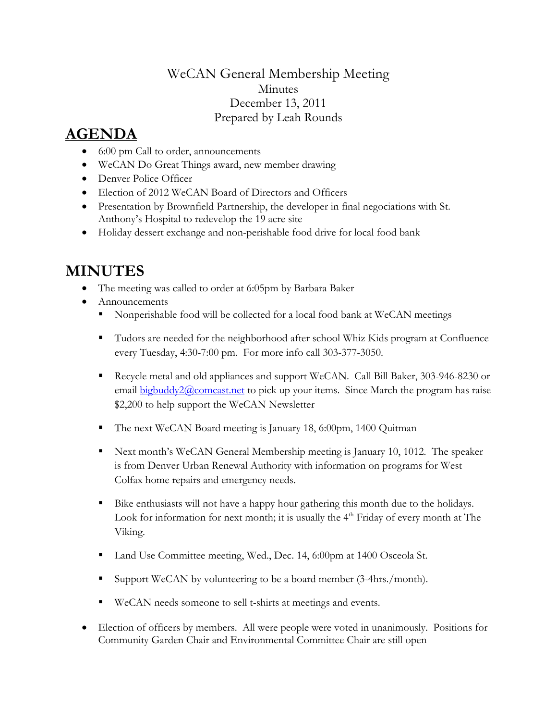## WeCAN General Membership Meeting Minutes December 13, 2011 Prepared by Leah Rounds

## **AGENDA**

- 6:00 pm Call to order, announcements
- WeCAN Do Great Things award, new member drawing
- Denver Police Officer
- Election of 2012 WeCAN Board of Directors and Officers
- Presentation by Brownfield Partnership, the developer in final negociations with St. Anthony's Hospital to redevelop the 19 acre site
- Holiday dessert exchange and non-perishable food drive for local food bank

## **MINUTES**

- The meeting was called to order at 6:05pm by Barbara Baker
- Announcements
	- Nonperishable food will be collected for a local food bank at WeCAN meetings
	- Tudors are needed for the neighborhood after school Whiz Kids program at Confluence every Tuesday, 4:30-7:00 pm. For more info call 303-377-3050.
	- Recycle metal and old appliances and support WeCAN. Call Bill Baker, 303-946-8230 or email **bigbuddy2@comcast.net** to pick up your items. Since March the program has raise \$2,200 to help support the WeCAN Newsletter
	- The next WeCAN Board meeting is January 18, 6:00pm, 1400 Quitman
	- Next month's WeCAN General Membership meeting is January 10, 1012. The speaker is from Denver Urban Renewal Authority with information on programs for West Colfax home repairs and emergency needs.
	- Bike enthusiasts will not have a happy hour gathering this month due to the holidays. Look for information for next month; it is usually the  $4<sup>th</sup>$  Friday of every month at The Viking.
	- Land Use Committee meeting, Wed., Dec. 14, 6:00pm at 1400 Osceola St.
	- Support WeCAN by volunteering to be a board member (3-4hrs./month).
	- WeCAN needs someone to sell t-shirts at meetings and events.
- Election of officers by members. All were people were voted in unanimously. Positions for Community Garden Chair and Environmental Committee Chair are still open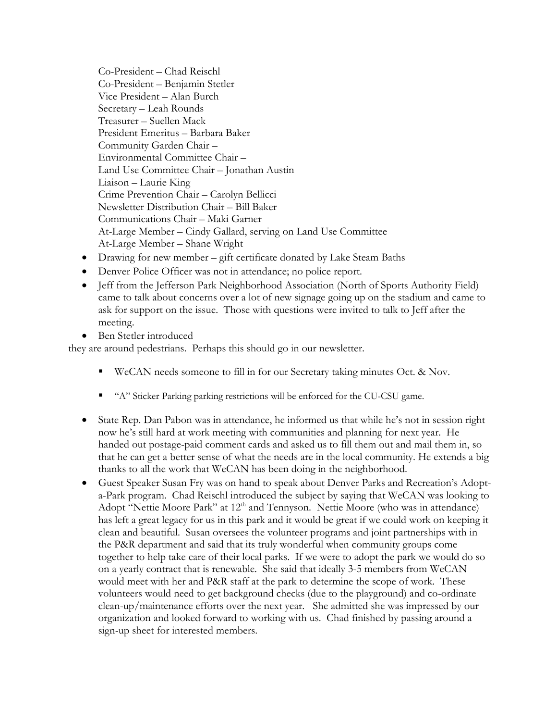Co-President – Chad Reischl Co-President – Benjamin Stetler Vice President – Alan Burch Secretary – Leah Rounds Treasurer – Suellen Mack President Emeritus – Barbara Baker Community Garden Chair – Environmental Committee Chair – Land Use Committee Chair – Jonathan Austin Liaison – Laurie King Crime Prevention Chair – Carolyn Bellicci Newsletter Distribution Chair – Bill Baker Communications Chair – Maki Garner At-Large Member – Cindy Gallard, serving on Land Use Committee At-Large Member – Shane Wright

- Drawing for new member gift certificate donated by Lake Steam Baths
- Denver Police Officer was not in attendance; no police report.
- Jeff from the Jefferson Park Neighborhood Association (North of Sports Authority Field) came to talk about concerns over a lot of new signage going up on the stadium and came to ask for support on the issue. Those with questions were invited to talk to Jeff after the meeting.
- Ben Stetler introduced

they are around pedestrians. Perhaps this should go in our newsletter.

- WeCAN needs someone to fill in for our Secretary taking minutes Oct. & Nov.
- " "A" Sticker Parking parking restrictions will be enforced for the CU-CSU game.
- State Rep. Dan Pabon was in attendance, he informed us that while he's not in session right now he's still hard at work meeting with communities and planning for next year. He handed out postage-paid comment cards and asked us to fill them out and mail them in, so that he can get a better sense of what the needs are in the local community. He extends a big thanks to all the work that WeCAN has been doing in the neighborhood.
- Guest Speaker Susan Fry was on hand to speak about Denver Parks and Recreation's Adopta-Park program. Chad Reischl introduced the subject by saying that WeCAN was looking to Adopt "Nettie Moore Park" at 12<sup>th</sup> and Tennyson. Nettie Moore (who was in attendance) has left a great legacy for us in this park and it would be great if we could work on keeping it clean and beautiful. Susan oversees the volunteer programs and joint partnerships with in the P&R department and said that its truly wonderful when community groups come together to help take care of their local parks. If we were to adopt the park we would do so on a yearly contract that is renewable. She said that ideally 3-5 members from WeCAN would meet with her and P&R staff at the park to determine the scope of work. These volunteers would need to get background checks (due to the playground) and co-ordinate clean-up/maintenance efforts over the next year. She admitted she was impressed by our organization and looked forward to working with us. Chad finished by passing around a sign-up sheet for interested members.